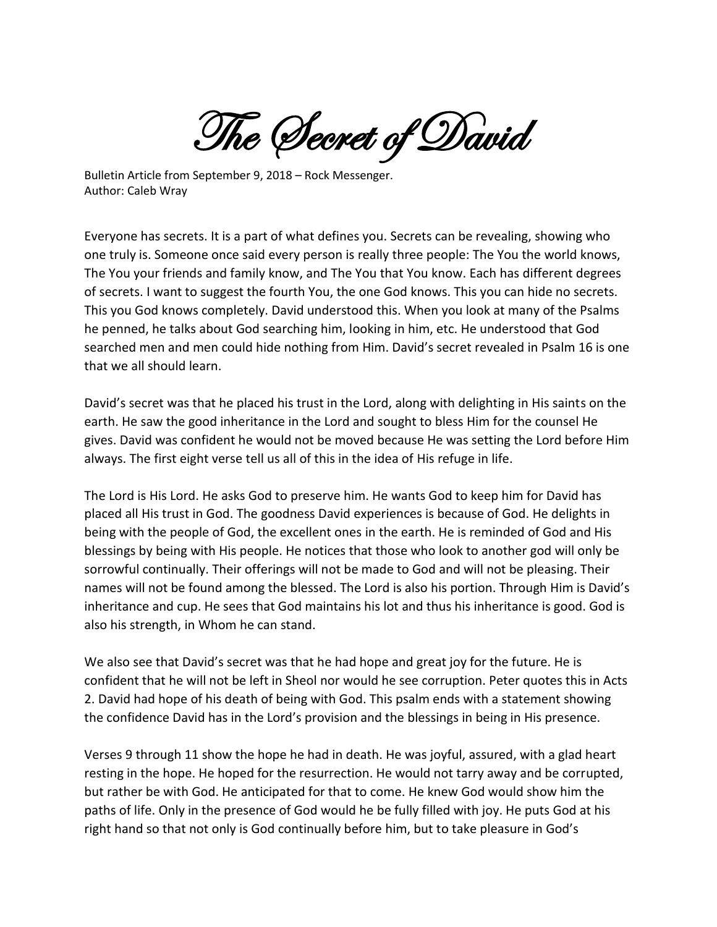The Secret of David

Bulletin Article from September 9, 2018 – Rock Messenger. Author: Caleb Wray

Everyone has secrets. It is a part of what defines you. Secrets can be revealing, showing who one truly is. Someone once said every person is really three people: The You the world knows, The You your friends and family know, and The You that You know. Each has different degrees of secrets. I want to suggest the fourth You, the one God knows. This you can hide no secrets. This you God knows completely. David understood this. When you look at many of the Psalms he penned, he talks about God searching him, looking in him, etc. He understood that God searched men and men could hide nothing from Him. David's secret revealed in Psalm 16 is one that we all should learn.

David's secret was that he placed his trust in the Lord, along with delighting in His saints on the earth. He saw the good inheritance in the Lord and sought to bless Him for the counsel He gives. David was confident he would not be moved because He was setting the Lord before Him always. The first eight verse tell us all of this in the idea of His refuge in life.

The Lord is His Lord. He asks God to preserve him. He wants God to keep him for David has placed all His trust in God. The goodness David experiences is because of God. He delights in being with the people of God, the excellent ones in the earth. He is reminded of God and His blessings by being with His people. He notices that those who look to another god will only be sorrowful continually. Their offerings will not be made to God and will not be pleasing. Their names will not be found among the blessed. The Lord is also his portion. Through Him is David's inheritance and cup. He sees that God maintains his lot and thus his inheritance is good. God is also his strength, in Whom he can stand.

We also see that David's secret was that he had hope and great joy for the future. He is confident that he will not be left in Sheol nor would he see corruption. Peter quotes this in Acts 2. David had hope of his death of being with God. This psalm ends with a statement showing the confidence David has in the Lord's provision and the blessings in being in His presence.

Verses 9 through 11 show the hope he had in death. He was joyful, assured, with a glad heart resting in the hope. He hoped for the resurrection. He would not tarry away and be corrupted, but rather be with God. He anticipated for that to come. He knew God would show him the paths of life. Only in the presence of God would he be fully filled with joy. He puts God at his right hand so that not only is God continually before him, but to take pleasure in God's